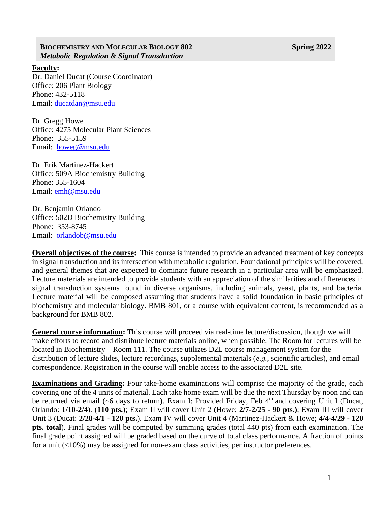## **BIOCHEMISTRY AND MOLECULAR BIOLOGY 802 Spring 2022** *Metabolic Regulation & Signal Transduction*

## **Faculty:**

Dr. Daniel Ducat (Course Coordinator) Office: 206 Plant Biology Phone: 432-5118 Email: ducatda[n@msu.edu](mailto:fergus20@msu.edu)

Dr. Gregg Howe Office: 4275 Molecular Plant Sciences Phone: 355-5159 Email: [howeg@msu.edu](mailto:howeg@msu.edu)

Dr. Erik Martinez-Hackert Office: 509A Biochemistry Building Phone: 355-1604 Email: [emh@msu.edu](mailto:emh@msu.edu)

Dr. Benjamin Orlando Office: 502D Biochemistry Building Phone: 353-8745 Email: [orlandob@msu.edu](mailto:orlandob@msu.edu)

**Overall objectives of the course:** This course is intended to provide an advanced treatment of key concepts in signal transduction and its intersection with metabolic regulation. Foundational principles will be covered, and general themes that are expected to dominate future research in a particular area will be emphasized. Lecture materials are intended to provide students with an appreciation of the similarities and differences in signal transduction systems found in diverse organisms, including animals, yeast, plants, and bacteria. Lecture material will be composed assuming that students have a solid foundation in basic principles of biochemistry and molecular biology. BMB 801, or a course with equivalent content, is recommended as a background for BMB 802.

**General course information:** This course will proceed via real-time lecture/discussion, though we will make efforts to record and distribute lecture materials online, when possible. The Room for lectures will be located in Biochemistry – Room 111. The course utilizes D2L course management system for the distribution of lecture slides, lecture recordings, supplemental materials (*e.g.*, scientific articles), and email correspondence. Registration in the course will enable access to the associated D2L site.

**Examinations and Grading:** Four take-home examinations will comprise the majority of the grade, each covering one of the 4 units of material. Each take home exam will be due the next Thursday by noon and can be returned via email ( $\sim$ 6 days to return). Exam I: Provided Friday, Feb 4<sup>th</sup> and covering Unit I (Ducat, Orlando: **1/10-2/4**). (**110 pts.**); Exam II will cover Unit 2 **(**Howe; **2/7-2/25 - 90 pts.)**; Exam III will cover Unit 3 (Ducat; **2/28-4/1** - **120 pts.**). Exam IV will cover Unit 4 (Martinez-Hackert & Howe; **4/4-4/29 - 120 pts. total**). Final grades will be computed by summing grades (total 440 pts) from each examination. The final grade point assigned will be graded based on the curve of total class performance. A fraction of points for a unit (<10%) may be assigned for non-exam class activities, per instructor preferences.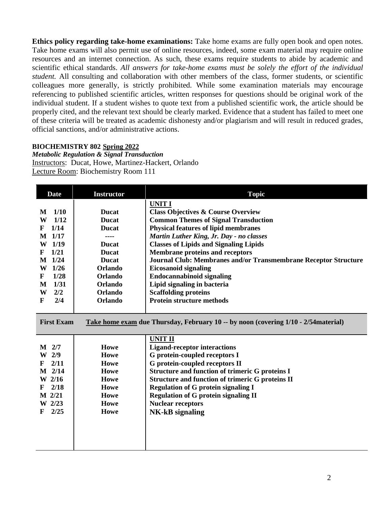**Ethics policy regarding take-home examinations:** Take home exams are fully open book and open notes. Take home exams will also permit use of online resources, indeed, some exam material may require online resources and an internet connection. As such, these exams require students to abide by academic and scientific ethical standards. *All answers for take-home exams must be solely the effort of the individual student.* All consulting and collaboration with other members of the class, former students, or scientific colleagues more generally, is strictly prohibited. While some examination materials may encourage referencing to published scientific articles, written responses for questions should be original work of the individual student. If a student wishes to quote text from a published scientific work, the article should be properly cited, and the relevant text should be clearly marked. Evidence that a student has failed to meet one of these criteria will be treated as academic dishonesty and/or plagiarism and will result in reduced grades, official sanctions, and/or administrative actions.

## **BIOCHEMISTRY 802 Spring 2022**

*Metabolic Regulation & Signal Transduction* Instructors: Ducat, Howe, Martinez-Hackert, Orlando Lecture Room: Biochemistry Room 111

| <b>Date</b>          | <b>Instructor</b> | <b>Topic</b>                                                                        |
|----------------------|-------------------|-------------------------------------------------------------------------------------|
|                      |                   | <b>UNIT I</b>                                                                       |
| 1/10<br>M            | <b>Ducat</b>      | <b>Class Objectives &amp; Course Overview</b>                                       |
| W<br>1/12            | <b>Ducat</b>      | <b>Common Themes of Signal Transduction</b>                                         |
| 1/14<br>F            | <b>Ducat</b>      | <b>Physical features of lipid membranes</b>                                         |
| M 1/17               | ----              | Martin Luther King, Jr. Day - no classes                                            |
| W <sub>1/19</sub>    | <b>Ducat</b>      | <b>Classes of Lipids and Signaling Lipids</b>                                       |
| 1/21<br>F            | <b>Ducat</b>      | <b>Membrane proteins and receptors</b>                                              |
| M 1/24               | <b>Ducat</b>      | Journal Club: Membranes and/or Transmembrane Receptor Structure                     |
| W 1/26               | Orlando           | <b>Eicosanoid signaling</b>                                                         |
| 1/28<br>$\mathbf{F}$ | Orlando           | <b>Endocannabinoid signaling</b>                                                    |
| 1/31<br>M            | <b>Orlando</b>    | Lipid signaling in bacteria                                                         |
| W<br>2/2             | <b>Orlando</b>    | <b>Scaffolding proteins</b>                                                         |
| 2/4<br>F             | <b>Orlando</b>    | <b>Protein structure methods</b>                                                    |
|                      |                   |                                                                                     |
| <b>First Exam</b>    |                   | Take home exam due Thursday, February 10 -- by noon (covering 1/10 - 2/54 material) |
|                      |                   | <b>UNIT II</b>                                                                      |
| $M$ 2/7              | <b>Howe</b>       | <b>Ligand-receptor interactions</b>                                                 |
| W <sub>2/9</sub>     | <b>Howe</b>       | G protein-coupled receptors I                                                       |
| 2/11<br>F            | Howe              | G protein-coupled receptors II                                                      |
| $M$ 2/14             | Howe              | Structure and function of trimeric G proteins I                                     |
| W 2/16               | Howe              | <b>Structure and function of trimeric G proteins II</b>                             |
| 2/18<br>F            | <b>Howe</b>       | <b>Regulation of G protein signaling I</b>                                          |
| M 2/21               | <b>Howe</b>       | <b>Regulation of G protein signaling II</b>                                         |
| W 2/23               | <b>Howe</b>       | <b>Nuclear receptors</b>                                                            |
| 2/25<br>F            | Howe              | <b>NK-kB</b> signaling                                                              |
|                      |                   |                                                                                     |
|                      |                   |                                                                                     |
|                      |                   |                                                                                     |
|                      |                   |                                                                                     |